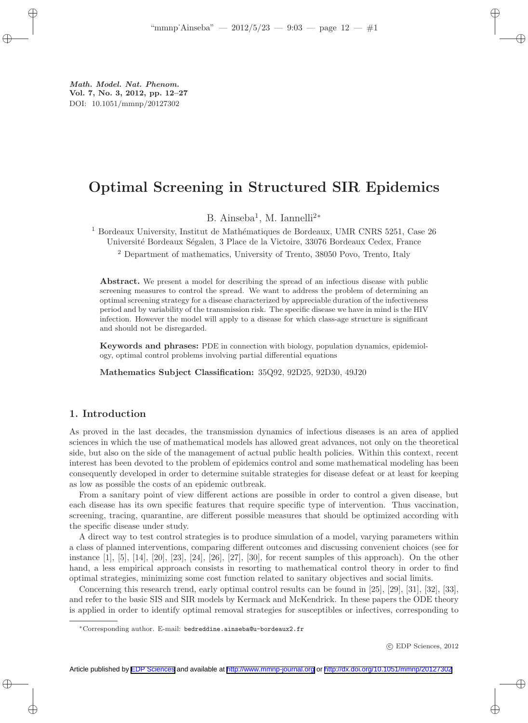# Optimal Screening in Structured SIR Epidemics

B. Ainseba<sup>1</sup>, M. Iannelli<sup>2</sup><sup>\*</sup>

 $^{\rm 1}$  Bordeaux University, Institut de Mathématiques de Bordeaux, UMR CNRS 5251, Case 26 Universit´e Bordeaux S´egalen, 3 Place de la Victoire, 33076 Bordeaux Cedex, France

<sup>2</sup> Department of mathematics, University of Trento, 38050 Povo, Trento, Italy

Abstract. We present a model for describing the spread of an infectious disease with public screening measures to control the spread. We want to address the problem of determining an optimal screening strategy for a disease characterized by appreciable duration of the infectiveness period and by variability of the transmission risk. The specific disease we have in mind is the HIV infection. However the model will apply to a disease for which class-age structure is significant and should not be disregarded.

Keywords and phrases: PDE in connection with biology, population dynamics, epidemiology, optimal control problems involving partial differential equations

Mathematics Subject Classification: 35Q92, 92D25, 92D30, 49J20

# 1. Introduction

As proved in the last decades, the transmission dynamics of infectious diseases is an area of applied sciences in which the use of mathematical models has allowed great advances, not only on the theoretical side, but also on the side of the management of actual public health policies. Within this context, recent interest has been devoted to the problem of epidemics control and some mathematical modeling has been consequently developed in order to determine suitable strategies for disease defeat or at least for keeping as low as possible the costs of an epidemic outbreak.

From a sanitary point of view different actions are possible in order to control a given disease, but each disease has its own specific features that require specific type of intervention. Thus vaccination, screening, tracing, quarantine, are different possible measures that should be optimized according with the specific disease under study.

A direct way to test control strategies is to produce simulation of a model, varying parameters within a class of planned interventions, comparing different outcomes and discussing convenient choices (see for instance  $[1]$ ,  $[5]$ ,  $[14]$ ,  $[20]$ ,  $[23]$ ,  $[24]$ ,  $[26]$ ,  $[27]$ ,  $[30]$ , for recent samples of this approach). On the other hand, a less empirical approach consists in resorting to mathematical control theory in order to find optimal strategies, minimizing some cost function related to sanitary objectives and social limits.

Concerning this research trend, early optimal control results can be found in [25], [29], [31], [32], [33], and refer to the basic SIS and SIR models by Kermack and McKendrick. In these papers the ODE theory is applied in order to identify optimal removal strategies for susceptibles or infectives, corresponding to

<sup>∗</sup>Corresponding author. E-mail: bedreddine.ainseba@u-bordeaux2.fr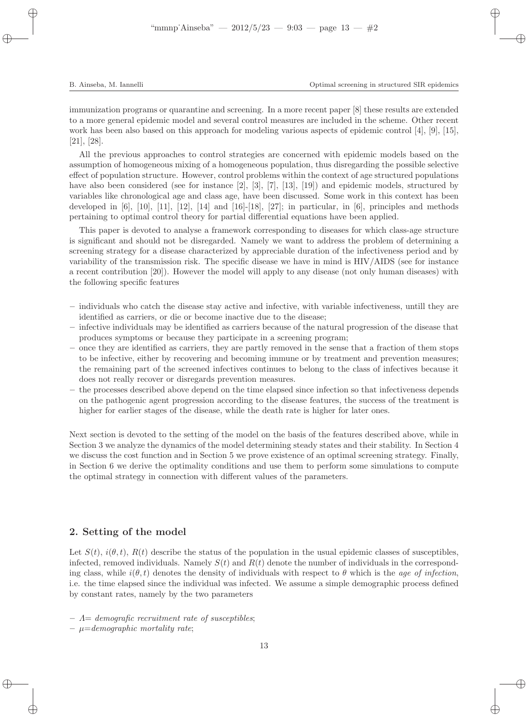immunization programs or quarantine and screening. In a more recent paper [8] these results are extended to a more general epidemic model and several control measures are included in the scheme. Other recent work has been also based on this approach for modeling various aspects of epidemic control [4], [9], [15], [21], [28].

All the previous approaches to control strategies are concerned with epidemic models based on the assumption of homogeneous mixing of a homogeneous population, thus disregarding the possible selective effect of population structure. However, control problems within the context of age structured populations have also been considered (see for instance [2], [3], [7], [13], [19]) and epidemic models, structured by variables like chronological age and class age, have been discussed. Some work in this context has been developed in  $[6]$ ,  $[10]$ ,  $[11]$ ,  $[12]$ ,  $[14]$  and  $[16]$ - $[18]$ ,  $[27]$ ; in particular, in  $[6]$ , principles and methods pertaining to optimal control theory for partial differential equations have been applied.

This paper is devoted to analyse a framework corresponding to diseases for which class-age structure is significant and should not be disregarded. Namely we want to address the problem of determining a screening strategy for a disease characterized by appreciable duration of the infectiveness period and by variability of the transmission risk. The specific disease we have in mind is HIV/AIDS (see for instance a recent contribution [20]). However the model will apply to any disease (not only human diseases) with the following specific features

- individuals who catch the disease stay active and infective, with variable infectiveness, untill they are identified as carriers, or die or become inactive due to the disease;
- infective individuals may be identified as carriers because of the natural progression of the disease that produces symptoms or because they participate in a screening program;
- once they are identified as carriers, they are partly removed in the sense that a fraction of them stops to be infective, either by recovering and becoming immune or by treatment and prevention measures; the remaining part of the screened infectives continues to belong to the class of infectives because it does not really recover or disregards prevention measures.
- the processes described above depend on the time elapsed since infection so that infectiveness depends on the pathogenic agent progression according to the disease features, the success of the treatment is higher for earlier stages of the disease, while the death rate is higher for later ones.

Next section is devoted to the setting of the model on the basis of the features described above, while in Section 3 we analyze the dynamics of the model determining steady states and their stability. In Section 4 we discuss the cost function and in Section 5 we prove existence of an optimal screening strategy. Finally, in Section 6 we derive the optimality conditions and use them to perform some simulations to compute the optimal strategy in connection with different values of the parameters.

## 2. Setting of the model

Let  $S(t)$ ,  $i(\theta, t)$ ,  $R(t)$  describe the status of the population in the usual epidemic classes of susceptibles, infected, removed individuals. Namely  $S(t)$  and  $R(t)$  denote the number of individuals in the corresponding class, while  $i(\theta, t)$  denotes the density of individuals with respect to  $\theta$  which is the age of infection, i.e. the time elapsed since the individual was infected. We assume a simple demographic process defined by constant rates, namely by the two parameters

- $\Lambda =$  demografic recruitment rate of susceptibles;
- $\mu = demographic$  mortality rate;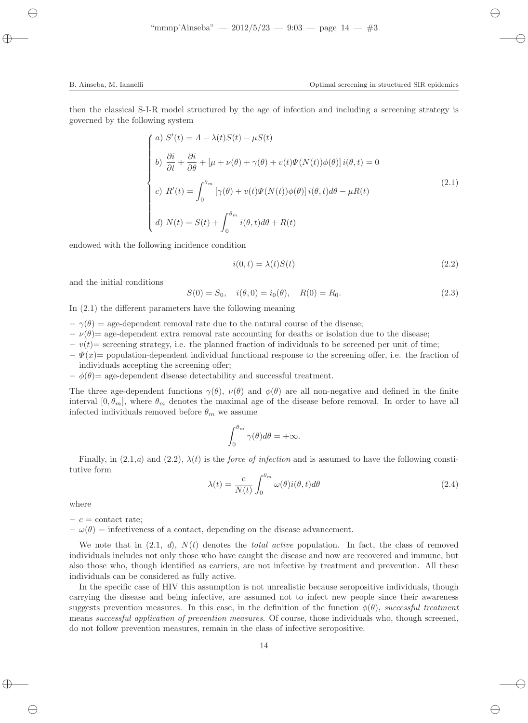then the classical S-I-R model structured by the age of infection and including a screening strategy is governed by the following system

$$
\begin{cases}\na) S'(t) = \Lambda - \lambda(t)S(t) - \mu S(t) \\
b) \frac{\partial i}{\partial t} + \frac{\partial i}{\partial \theta} + [\mu + \nu(\theta) + \gamma(\theta) + \nu(t)\Psi(N(t))\phi(\theta)] i(\theta, t) = 0 \\
c) R'(t) = \int_0^{\theta_m} [\gamma(\theta) + \nu(t)\Psi(N(t))\phi(\theta)] i(\theta, t)d\theta - \mu R(t) \\
d) N(t) = S(t) + \int_0^{\theta_m} i(\theta, t)d\theta + R(t)\n\end{cases} \tag{2.1}
$$

endowed with the following incidence condition

$$
i(0,t) = \lambda(t)S(t)
$$
\n<sup>(2.2)</sup>

and the initial conditions

$$
S(0) = S_0, \quad i(\theta, 0) = i_0(\theta), \quad R(0) = R_0.
$$
\n
$$
(2.3)
$$

In (2.1) the different parameters have the following meaning

- $-\gamma(\theta)$  = age-dependent removal rate due to the natural course of the disease;
- $-\nu(\theta)$ = age-dependent extra removal rate accounting for deaths or isolation due to the disease;
- $v(t)$  screening strategy, i.e. the planned fraction of individuals to be screened per unit of time;
- $-\Psi(x)$  population-dependent individual functional response to the screening offer, i.e. the fraction of individuals accepting the screening offer;
- $-\phi(\theta)$  age-dependent disease detectability and successful treatment.

The three age-dependent functions  $\gamma(\theta)$ ,  $\nu(\theta)$  and  $\phi(\theta)$  are all non-negative and defined in the finite interval  $[0, \theta_m]$ , where  $\theta_m$  denotes the maximal age of the disease before removal. In order to have all infected individuals removed before  $\theta_m$  we assume

$$
\int_0^{\theta_m} \gamma(\theta) d\theta = +\infty.
$$

Finally, in (2.1,a) and (2.2),  $\lambda(t)$  is the force of infection and is assumed to have the following constitutive form

$$
\lambda(t) = \frac{c}{N(t)} \int_0^{\theta_m} \omega(\theta) i(\theta, t) d\theta \tag{2.4}
$$

where

 $-c = \text{contact rate}$ ;

 $-\omega(\theta)$  = infectiveness of a contact, depending on the disease advancement.

We note that in  $(2.1, d)$ ,  $N(t)$  denotes the *total active* population. In fact, the class of removed individuals includes not only those who have caught the disease and now are recovered and immune, but also those who, though identified as carriers, are not infective by treatment and prevention. All these individuals can be considered as fully active.

In the specific case of HIV this assumption is not unrealistic because seropositive individuals, though carrying the disease and being infective, are assumed not to infect new people since their awareness suggests prevention measures. In this case, in the definition of the function  $\phi(\theta)$ , successful treatment means *successful application of prevention measures*. Of course, those individuals who, though screened, do not follow prevention measures, remain in the class of infective seropositive.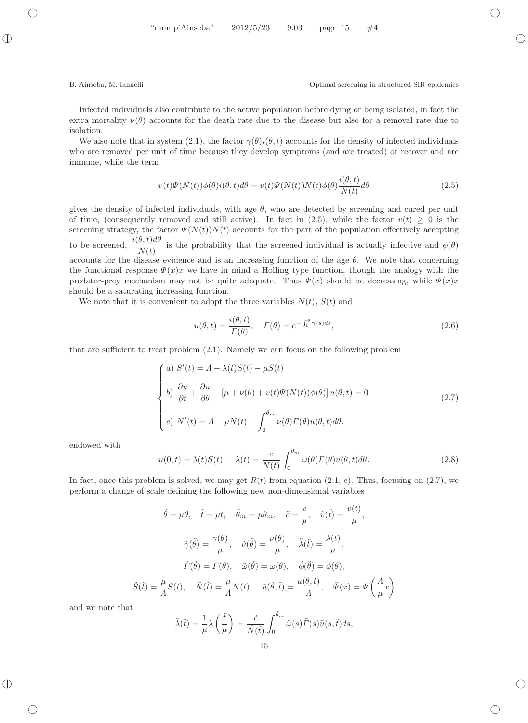Infected individuals also contribute to the active population before dying or being isolated, in fact the extra mortality  $\nu(\theta)$  accounts for the death rate due to the disease but also for a removal rate due to isolation.

We also note that in system (2.1), the factor  $\gamma(\theta)i(\theta, t)$  accounts for the density of infected individuals who are removed per unit of time because they develop symptoms (and are treated) or recover and are immune, while the term

$$
v(t)\Psi(N(t))\phi(\theta)i(\theta,t)d\theta = v(t)\Psi(N(t))N(t)\phi(\theta)\frac{i(\theta,t)}{N(t)}d\theta
$$
\n(2.5)

gives the density of infected individuals, with age  $\theta$ , who are detected by screening and cured per unit of time, (consequently removed and still active). In fact in (2.5), while the factor  $v(t) \geq 0$  is the screening strategy, the factor  $\Psi(N(t))N(t)$  accounts for the part of the population effectively accepting to be screened,  $\frac{i(\theta, t)d\theta}{N(t)}$  is the probability that the screened individual is actually infective and  $\phi(\theta)$ accounts for the disease evidence and is an increasing function of the age  $\theta$ . We note that concerning the functional response  $\Psi(x)x$  we have in mind a Holling type function, though the analogy with the predator-prey mechanism may not be quite adequate. Thus  $\Psi(x)$  should be decreasing, while  $\Psi(x)x$ should be a saturating increasing function.

We note that it is convenient to adopt the three variables  $N(t)$ ,  $S(t)$  and

$$
u(\theta, t) = \frac{i(\theta, t)}{\Gamma(\theta)}, \quad \Gamma(\theta) = e^{-\int_0^{\theta} \gamma(s)ds}, \tag{2.6}
$$

that are sufficient to treat problem (2.1). Namely we can focus on the following problem

$$
\begin{cases}\na) S'(t) = \Lambda - \lambda(t)S(t) - \mu S(t) \\
b) \frac{\partial u}{\partial t} + \frac{\partial u}{\partial \theta} + [\mu + \nu(\theta) + v(t)\Psi(N(t))\phi(\theta)] u(\theta, t) = 0 \\
c) N'(t) = \Lambda - \mu N(t) - \int_0^{\theta_m} \nu(\theta) \Gamma(\theta) u(\theta, t) d\theta.\n\end{cases} \tag{2.7}
$$

endowed with

$$
u(0,t) = \lambda(t)S(t), \quad \lambda(t) = \frac{c}{N(t)} \int_0^{\theta_m} \omega(\theta) \Gamma(\theta) u(\theta, t) d\theta.
$$
 (2.8)

In fact, once this problem is solved, we may get  $R(t)$  from equation (2.1, c). Thus, focusing on (2.7), we perform a change of scale defining the following new non-dimensional variables

$$
\tilde{\theta} = \mu \theta, \quad \tilde{t} = \mu t, \quad \tilde{\theta}_m = \mu \theta_m, \quad \tilde{c} = \frac{c}{\mu}, \quad \tilde{v}(\tilde{t}) = \frac{v(t)}{\mu},
$$

$$
\tilde{\gamma}(\tilde{\theta}) = \frac{\gamma(\theta)}{\mu}, \quad \tilde{\nu}(\tilde{\theta}) = \frac{\nu(\theta)}{\mu}, \quad \tilde{\lambda}(\tilde{t}) = \frac{\lambda(t)}{\mu},
$$

$$
\tilde{\Gamma}(\tilde{\theta}) = \Gamma(\theta), \quad \tilde{\omega}(\tilde{\theta}) = \omega(\theta), \quad \tilde{\phi}(\tilde{\theta}) = \phi(\theta),
$$

$$
\tilde{S}(\tilde{t}) = \frac{\mu}{\Lambda} S(t), \quad \tilde{N}(\tilde{t}) = \frac{\mu}{\Lambda} N(t), \quad \tilde{u}(\tilde{\theta}, \tilde{t}) = \frac{u(\theta, t)}{\Lambda}, \quad \tilde{\Psi}(x) = \Psi\left(\frac{\Lambda}{\mu}x\right)
$$

and we note that

$$
\tilde{\lambda}(\tilde{t}) = \frac{1}{\mu} \lambda \left(\frac{\tilde{t}}{\mu}\right) = \frac{\tilde{c}}{\tilde{N}(\tilde{t})} \int_0^{\tilde{\theta}_m} \tilde{\omega}(s) \tilde{\Gamma}(s) \tilde{u}(s, \tilde{t}) ds,
$$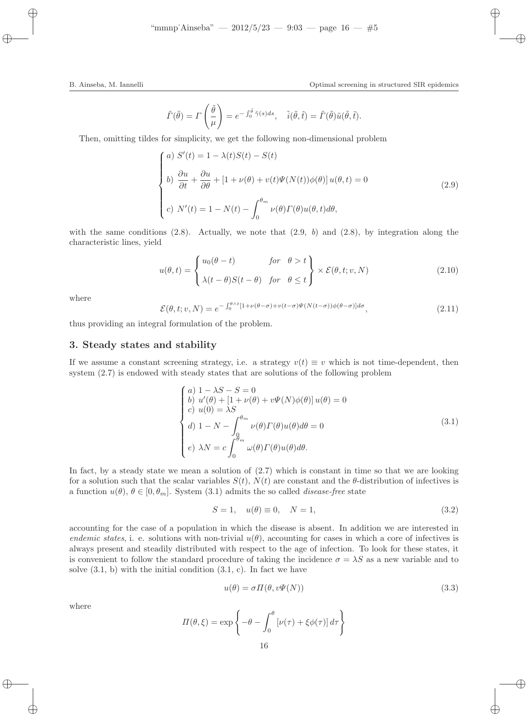$$
\tilde{\Gamma}(\tilde{\theta}) = \Gamma\left(\frac{\tilde{\theta}}{\mu}\right) = e^{-\int_0^{\tilde{\theta}} \tilde{\gamma}(s)ds}, \quad \tilde{i}(\tilde{\theta}, \tilde{t}) = \tilde{\Gamma}(\tilde{\theta})\tilde{u}(\tilde{\theta}, \tilde{t}).
$$

Then, omitting tildes for simplicity, we get the following non-dimensional problem

$$
\begin{cases}\na) S'(t) = 1 - \lambda(t)S(t) - S(t) \\
b) \frac{\partial u}{\partial t} + \frac{\partial u}{\partial \theta} + [1 + \nu(\theta) + v(t)\Psi(N(t))\phi(\theta)] u(\theta, t) = 0 \\
c) N'(t) = 1 - N(t) - \int_0^{\theta_m} \nu(\theta) \Gamma(\theta)u(\theta, t) d\theta,\n\end{cases} \tag{2.9}
$$

with the same conditions  $(2.8)$ . Actually, we note that  $(2.9, b)$  and  $(2.8)$ , by integration along the characteristic lines, yield

$$
u(\theta, t) = \begin{cases} u_0(\theta - t) & \text{for } \theta > t \\ \lambda(t - \theta)S(t - \theta) & \text{for } \theta \le t \end{cases} \times \mathcal{E}(\theta, t; v, N) \tag{2.10}
$$

where

$$
\mathcal{E}(\theta, t; v, N) = e^{-\int_0^{\theta \wedge t} [1 + \nu(\theta - \sigma) + v(t - \sigma)\Psi(N(t - \sigma))\phi(\theta - \sigma)]d\sigma}, \qquad (2.11)
$$

thus providing an integral formulation of the problem.

#### 3. Steady states and stability

If we assume a constant screening strategy, i.e. a strategy  $v(t) \equiv v$  which is not time-dependent, then system (2.7) is endowed with steady states that are solutions of the following problem

$$
\begin{cases}\na) 1 - \lambda S - S = 0 \\
b) u'(\theta) + [1 + \nu(\theta) + v\Psi(N)\phi(\theta)] u(\theta) = 0 \\
c) u(0) = \lambda S \\
d) 1 - N - \int_{0}^{\theta_m} \nu(\theta) \Gamma(\theta) u(\theta) d\theta = 0 \\
e) \lambda N = c \int_{0}^{\theta_m} \omega(\theta) \Gamma(\theta) u(\theta) d\theta.\n\end{cases}
$$
\n(3.1)

In fact, by a steady state we mean a solution of (2.7) which is constant in time so that we are looking for a solution such that the scalar variables  $S(t)$ ,  $N(t)$  are constant and the  $\theta$ -distribution of infectives is a function  $u(\theta)$ ,  $\theta \in [0, \theta_m]$ . System (3.1) admits the so called *disease-free* state

$$
S = 1, \quad u(\theta) \equiv 0, \quad N = 1,\tag{3.2}
$$

accounting for the case of a population in which the disease is absent. In addition we are interested in endemic states, i. e. solutions with non-trivial  $u(\theta)$ , accounting for cases in which a core of infectives is always present and steadily distributed with respect to the age of infection. To look for these states, it is convenient to follow the standard procedure of taking the incidence  $\sigma = \lambda S$  as a new variable and to solve  $(3.1, b)$  with the initial condition  $(3.1, c)$ . In fact we have

$$
u(\theta) = \sigma \Pi(\theta, v\Psi(N))
$$
\n(3.3)

where

$$
\Pi(\theta,\xi) = \exp\left\{-\theta - \int_0^{\theta} \left[\nu(\tau) + \xi \phi(\tau)\right] d\tau\right\}
$$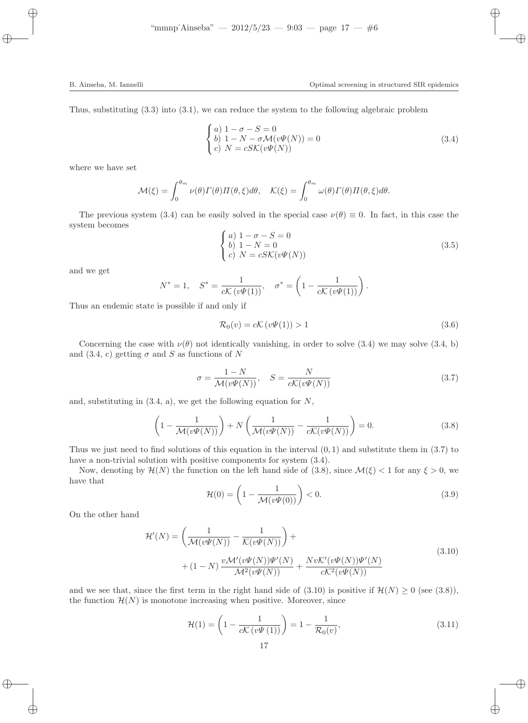Thus, substituting (3.3) into (3.1), we can reduce the system to the following algebraic problem

$$
\begin{cases}\na) 1 - \sigma - S = 0 \\
b) 1 - N - \sigma \mathcal{M}(v\Psi(N)) = 0 \\
c) N = cS\mathcal{K}(v\Psi(N))\n\end{cases}
$$
\n(3.4)

where we have set

$$
\mathcal{M}(\xi) = \int_0^{\theta_m} \nu(\theta) \Gamma(\theta) \Pi(\theta, \xi) d\theta, \quad \mathcal{K}(\xi) = \int_0^{\theta_m} \omega(\theta) \Gamma(\theta) \Pi(\theta, \xi) d\theta.
$$

The previous system (3.4) can be easily solved in the special case  $\nu(\theta) \equiv 0$ . In fact, in this case the system becomes

$$
\begin{cases}\na) 1 - \sigma - S = 0 \\
b) 1 - N = 0 \\
c) N = cS\mathcal{K}(v\Psi(N))\n\end{cases}
$$
\n(3.5)

and we get

$$
N^* = 1
$$
,  $S^* = \frac{1}{c\mathcal{K}(v\Psi(1))}$ ,  $\sigma^* = \left(1 - \frac{1}{c\mathcal{K}(v\Psi(1))}\right)$ .

Thus an endemic state is possible if and only if

$$
\mathcal{R}_0(v) = c\mathcal{K}\left(v\Psi(1)\right) > 1\tag{3.6}
$$

Concerning the case with  $\nu(\theta)$  not identically vanishing, in order to solve (3.4) we may solve (3.4, b) and (3.4, c) getting  $\sigma$  and S as functions of N

$$
\sigma = \frac{1 - N}{\mathcal{M}(v\Psi(N))}, \quad S = \frac{N}{c\mathcal{K}(v\Psi(N))}
$$
\n(3.7)

and, substituting in  $(3.4, a)$ , we get the following equation for N,

$$
\left(1 - \frac{1}{\mathcal{M}(v\Psi(N))}\right) + N\left(\frac{1}{\mathcal{M}(v\Psi(N))} - \frac{1}{c\mathcal{K}(v\Psi(N))}\right) = 0.
$$
\n(3.8)

Thus we just need to find solutions of this equation in the interval  $(0, 1)$  and substitute them in  $(3.7)$  to have a non-trivial solution with positive components for system  $(3.4)$ .

Now, denoting by  $\mathcal{H}(N)$  the function on the left hand side of (3.8), since  $\mathcal{M}(\xi) < 1$  for any  $\xi > 0$ , we have that

$$
\mathcal{H}(0) = \left(1 - \frac{1}{\mathcal{M}(v\Psi(0))}\right) < 0. \tag{3.9}
$$

On the other hand

$$
\mathcal{H}'(N) = \left(\frac{1}{\mathcal{M}(v\Psi(N))} - \frac{1}{\mathcal{K}(v\Psi(N))}\right) +
$$
  
+ 
$$
(1 - N) \frac{v\mathcal{M}'(v\Psi(N))\Psi'(N)}{\mathcal{M}^2(v\Psi(N))} + \frac{Nv\mathcal{K}'(v\Psi(N))\Psi'(N)}{c\mathcal{K}^2(v\Psi(N))}
$$
(3.10)

and we see that, since the first term in the right hand side of (3.10) is positive if  $\mathcal{H}(N) \geq 0$  (see (3.8)), the function  $\mathcal{H}(N)$  is monotone increasing when positive. Moreover, since

$$
\mathcal{H}(1) = \left(1 - \frac{1}{c\mathcal{K}\left(v\Psi\left(1\right)\right)}\right) = 1 - \frac{1}{\mathcal{R}_0(v)},\tag{3.11}
$$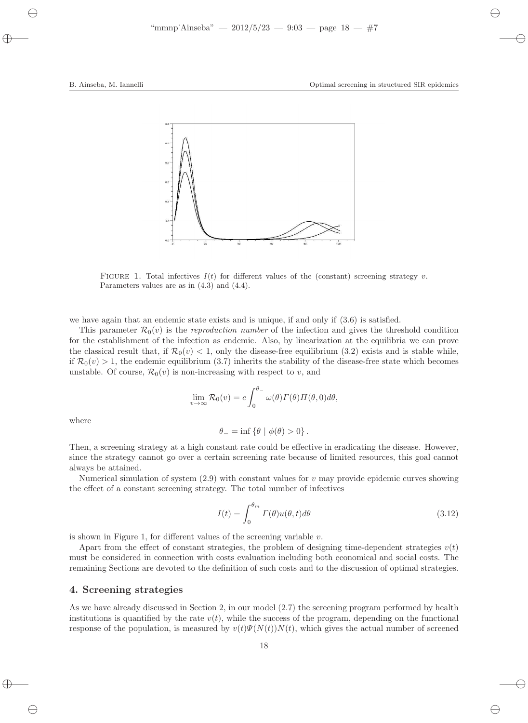

FIGURE 1. Total infectives  $I(t)$  for different values of the (constant) screening strategy v. Parameters values are as in (4.3) and (4.4).

we have again that an endemic state exists and is unique, if and only if (3.6) is satisfied.

This parameter  $\mathcal{R}_0(v)$  is the reproduction number of the infection and gives the threshold condition for the establishment of the infection as endemic. Also, by linearization at the equilibria we can prove the classical result that, if  $\mathcal{R}_0(v) < 1$ , only the disease-free equilibrium (3.2) exists and is stable while, if  $\mathcal{R}_0(v) > 1$ , the endemic equilibrium (3.7) inherits the stability of the disease-free state which becomes unstable. Of course,  $\mathcal{R}_0(v)$  is non-increasing with respect to v, and

$$
\lim_{v \to \infty} \mathcal{R}_0(v) = c \int_0^{\theta^-} \omega(\theta) \Gamma(\theta) \Pi(\theta, 0) d\theta,
$$

where

$$
\theta_{-} = \inf \{\theta \mid \phi(\theta) > 0\}.
$$

Then, a screening strategy at a high constant rate could be effective in eradicating the disease. However, since the strategy cannot go over a certain screening rate because of limited resources, this goal cannot always be attained.

Numerical simulation of system  $(2.9)$  with constant values for v may provide epidemic curves showing the effect of a constant screening strategy. The total number of infectives

$$
I(t) = \int_0^{\theta_m} \Gamma(\theta) u(\theta, t) d\theta
$$
\n(3.12)

is shown in Figure 1, for different values of the screening variable  $v$ .

Apart from the effect of constant strategies, the problem of designing time-dependent strategies  $v(t)$ must be considered in connection with costs evaluation including both economical and social costs. The remaining Sections are devoted to the definition of such costs and to the discussion of optimal strategies.

#### 4. Screening strategies

As we have already discussed in Section 2, in our model (2.7) the screening program performed by health institutions is quantified by the rate  $v(t)$ , while the success of the program, depending on the functional response of the population, is measured by  $v(t)\Psi(N(t))N(t)$ , which gives the actual number of screened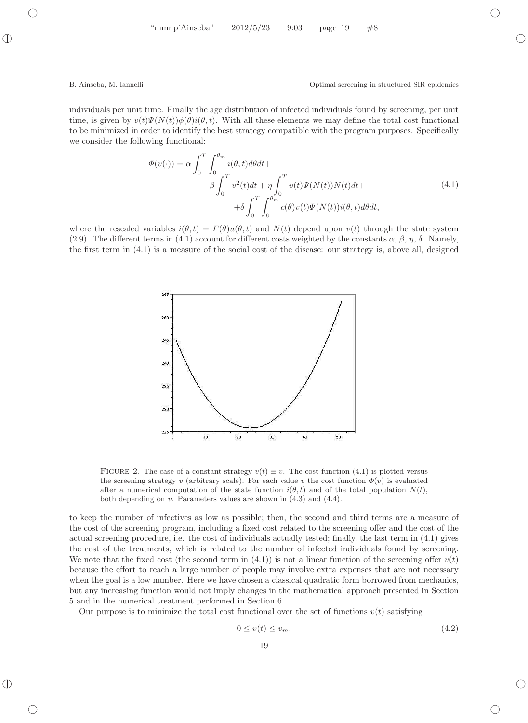individuals per unit time. Finally the age distribution of infected individuals found by screening, per unit time, is given by  $v(t)\Psi(N(t))\phi(\theta)i(\theta,t)$ . With all these elements we may define the total cost functional to be minimized in order to identify the best strategy compatible with the program purposes. Specifically we consider the following functional:

$$
\Phi(v(\cdot)) = \alpha \int_0^T \int_0^{\theta_m} i(\theta, t) d\theta dt +
$$
\n
$$
\beta \int_0^T v^2(t) dt + \eta \int_0^T v(t) \Psi(N(t)) N(t) dt +
$$
\n
$$
+ \delta \int_0^T \int_0^{\theta_m} c(\theta) v(t) \Psi(N(t)) i(\theta, t) d\theta dt,
$$
\n(4.1)

where the rescaled variables  $i(\theta, t) = \Gamma(\theta)u(\theta, t)$  and  $N(t)$  depend upon  $v(t)$  through the state system (2.9). The different terms in (4.1) account for different costs weighted by the constants  $\alpha$ ,  $\beta$ ,  $\eta$ ,  $\delta$ . Namely, the first term in (4.1) is a measure of the social cost of the disease: our strategy is, above all, designed



FIGURE 2. The case of a constant strategy  $v(t) \equiv v$ . The cost function (4.1) is plotted versus the screening strategy v (arbitrary scale). For each value v the cost function  $\Phi(v)$  is evaluated after a numerical computation of the state function  $i(\theta, t)$  and of the total population  $N(t)$ , both depending on  $v$ . Parameters values are shown in  $(4.3)$  and  $(4.4)$ .

to keep the number of infectives as low as possible; then, the second and third terms are a measure of the cost of the screening program, including a fixed cost related to the screening offer and the cost of the actual screening procedure, i.e. the cost of individuals actually tested; finally, the last term in (4.1) gives the cost of the treatments, which is related to the number of infected individuals found by screening. We note that the fixed cost (the second term in  $(4.1)$ ) is not a linear function of the screening offer  $v(t)$ because the effort to reach a large number of people may involve extra expenses that are not necessary when the goal is a low number. Here we have chosen a classical quadratic form borrowed from mechanics, but any increasing function would not imply changes in the mathematical approach presented in Section 5 and in the numerical treatment performed in Section 6.

Our purpose is to minimize the total cost functional over the set of functions  $v(t)$  satisfying

$$
0 \le v(t) \le v_m,\tag{4.2}
$$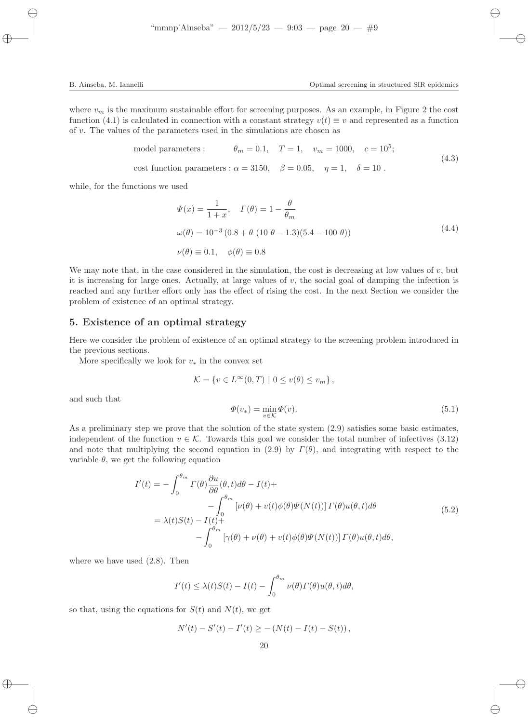where  $v_m$  is the maximum sustainable effort for screening purposes. As an example, in Figure 2 the cost function (4.1) is calculated in connection with a constant strategy  $v(t) \equiv v$  and represented as a function of v. The values of the parameters used in the simulations are chosen as

model parameters : 
$$
\theta_m = 0.1
$$
,  $T = 1$ ,  $v_m = 1000$ ,  $c = 10^5$ ;  
(4.3)

cost function parameters :  $\alpha = 3150$ ,  $\beta = 0.05$ ,  $\eta = 1$ ,  $\delta = 10$ .

while, for the functions we used

$$
\Psi(x) = \frac{1}{1+x}, \quad \Gamma(\theta) = 1 - \frac{\theta}{\theta_m}
$$
  
\n
$$
\omega(\theta) = 10^{-3} (0.8 + \theta (10 \theta - 1.3)(5.4 - 100 \theta))
$$
  
\n
$$
\nu(\theta) \equiv 0.1, \quad \phi(\theta) \equiv 0.8
$$
\n(4.4)

We may note that, in the case considered in the simulation, the cost is decreasing at low values of  $v$ , but it is increasing for large ones. Actually, at large values of  $v$ , the social goal of damping the infection is reached and any further effort only has the effect of rising the cost. In the next Section we consider the problem of existence of an optimal strategy.

## 5. Existence of an optimal strategy

Here we consider the problem of existence of an optimal strategy to the screening problem introduced in the previous sections.

More specifically we look for  $v_*$  in the convex set

$$
\mathcal{K} = \{ v \in L^{\infty}(0, T) \mid 0 \le v(\theta) \le v_m \},
$$

and such that

$$
\Phi(v_*) = \min_{v \in \mathcal{K}} \Phi(v). \tag{5.1}
$$

As a preliminary step we prove that the solution of the state system (2.9) satisfies some basic estimates, independent of the function  $v \in \mathcal{K}$ . Towards this goal we consider the total number of infectives (3.12) and note that multiplying the second equation in (2.9) by  $\Gamma(\theta)$ , and integrating with respect to the variable  $\theta$ , we get the following equation

$$
I'(t) = -\int_0^{\theta_m} \Gamma(\theta) \frac{\partial u}{\partial \theta} (\theta, t) d\theta - I(t) +
$$
  

$$
-\int_0^{\theta_m} \left[ \nu(\theta) + v(t) \phi(\theta) \Psi(N(t)) \right] \Gamma(\theta) u(\theta, t) d\theta
$$
  

$$
= \lambda(t)S(t) - I(t) +
$$
  

$$
-\int_0^{\theta_m} \left[ \gamma(\theta) + \nu(\theta) + v(t) \phi(\theta) \Psi(N(t)) \right] \Gamma(\theta) u(\theta, t) d\theta,
$$
 (5.2)

where we have used (2.8). Then

$$
I'(t) \leq \lambda(t)S(t) - I(t) - \int_0^{\theta_m} \nu(\theta) \Gamma(\theta) u(\theta, t) d\theta,
$$

so that, using the equations for  $S(t)$  and  $N(t)$ , we get

$$
N'(t) - S'(t) - I'(t) \ge -(N(t) - I(t) - S(t)),
$$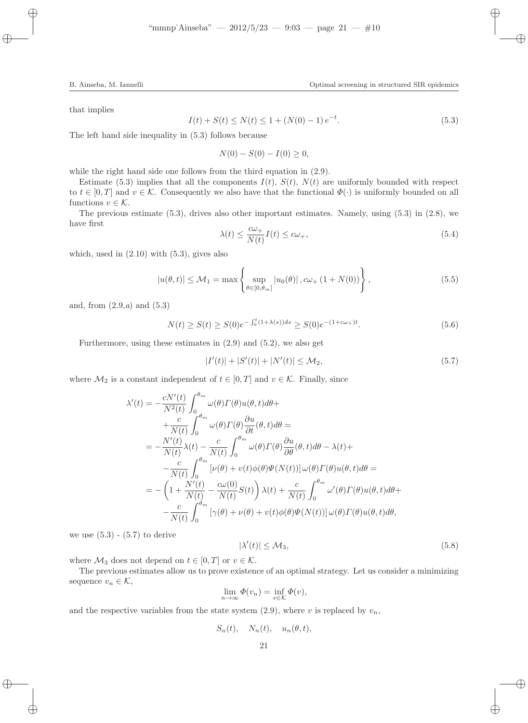that implies

$$
I(t) + S(t) \le N(t) \le 1 + (N(0) - 1)e^{-t}.
$$
\n(5.3)

The left hand side inequality in (5.3) follows because

$$
N(0) - S(0) - I(0) \ge 0,
$$

while the right hand side one follows from the third equation in  $(2.9)$ .

Estimate (5.3) implies that all the components  $I(t)$ ,  $S(t)$ ,  $N(t)$  are uniformly bounded with respect to  $t \in [0, T]$  and  $v \in \mathcal{K}$ . Consequently we also have that the functional  $\Phi(\cdot)$  is uniformly bounded on all functions  $v \in \mathcal{K}$ .

The previous estimate (5.3), drives also other important estimates. Namely, using (5.3) in (2.8), we have first

$$
\lambda(t) \le \frac{c\omega_+}{N(t)} I(t) \le c\omega_+, \tag{5.4}
$$

which, used in  $(2.10)$  with  $(5.3)$ , gives also

$$
|u(\theta, t)| \leq \mathcal{M}_1 = \max\left\{\sup_{\theta \in [0, \theta_m]} |u_0(\theta)|, c\omega_+ (1 + N(0))\right\},\tag{5.5}
$$

and, from  $(2.9,a)$  and  $(5.3)$ 

$$
N(t) \ge S(t) \ge S(0)e^{-\int_0^t (1+\lambda(s))ds} \ge S(0)e^{-(1+c\omega_+)t}.
$$
\n(5.6)

Furthermore, using these estimates in  $(2.9)$  and  $(5.2)$ , we also get

$$
|I'(t)| + |S'(t)| + |N'(t)| \leq \mathcal{M}_2,\tag{5.7}
$$

where  $\mathcal{M}_2$  is a constant independent of  $t \in [0, T]$  and  $v \in \mathcal{K}$ . Finally, since

$$
\lambda'(t) = -\frac{cN'(t)}{N^2(t)} \int_0^{\theta_m} \omega(\theta) \Gamma(\theta) u(\theta, t) d\theta +
$$
  
\n
$$
+ \frac{c}{N(t)} \int_0^{\theta_m} \omega(\theta) \Gamma(\theta) \frac{\partial u}{\partial t}(\theta, t) d\theta =
$$
  
\n
$$
= -\frac{N'(t)}{N(t)} \lambda(t) - \frac{c}{N(t)} \int_0^{\theta_m} \omega(\theta) \Gamma(\theta) \frac{\partial u}{\partial \theta}(\theta, t) d\theta - \lambda(t) +
$$
  
\n
$$
- \frac{c}{N(t)} \int_0^{\theta_m} [\nu(\theta) + \nu(t) \phi(\theta) \Psi(N(t))] \omega(\theta) \Gamma(\theta) u(\theta, t) d\theta =
$$
  
\n
$$
= -\left(1 + \frac{N'(t)}{N(t)} - \frac{c\omega(0)}{N(t)} S(t)\right) \lambda(t) + \frac{c}{N(t)} \int_0^{\theta_m} \omega'(\theta) \Gamma(\theta) u(\theta, t) d\theta +
$$
  
\n
$$
- \frac{c}{N(t)} \int_0^{\theta_m} [\gamma(\theta) + \nu(\theta) + \nu(t) \phi(\theta) \Psi(N(t))] \omega(\theta) \Gamma(\theta) u(\theta, t) d\theta,
$$

we use  $(5.3)$  -  $(5.7)$  to derive

$$
|\lambda'(t)| \le \mathcal{M}_3,\tag{5.8}
$$

where  $\mathcal{M}_3$  does not depend on  $t \in [0, T]$  or  $v \in \mathcal{K}$ .

The previous estimates allow us to prove existence of an optimal strategy. Let us consider a minimizing sequence  $v_n \in \mathcal{K}$ ,

$$
\lim_{n \to \infty} \Phi(v_n) = \inf_{v \in \mathcal{K}} \Phi(v),
$$

and the respective variables from the state system  $(2.9)$ , where v is replaced by  $v_n$ ,

$$
S_n(t), \quad N_n(t), \quad u_n(\theta, t),
$$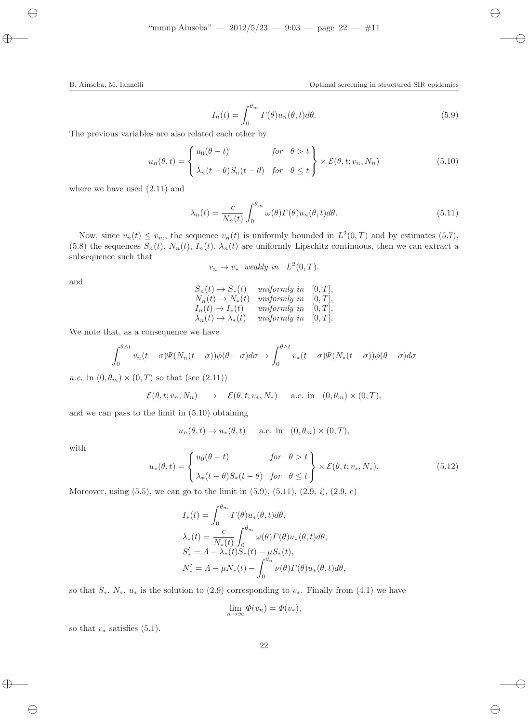B. Ainseba, M. Iannelli Optimal screening in structured SIR epidemics

$$
I_n(t) = \int_0^{\theta_m} \Gamma(\theta) u_n(\theta, t) d\theta.
$$
\n(5.9)

The previous variables are also related each other by

$$
u_n(\theta, t) = \begin{cases} u_0(\theta - t) & \text{for } \theta > t \\ \lambda_n(t - \theta) S_n(t - \theta) & \text{for } \theta \le t \end{cases} \times \mathcal{E}(\theta, t; v_n, N_n)
$$
(5.10)

where we have used (2.11) and

$$
\lambda_n(t) = \frac{c}{N_n(t)} \int_0^{\theta_m} \omega(\theta) \Gamma(\theta) u_n(\theta, t) d\theta.
$$
\n(5.11)

Now, since  $v_n(t) \le v_m$ , the sequence  $v_n(t)$  is uniformly bounded in  $L^2(0,T)$  and by estimates (5.7), (5.8) the sequences  $S_n(t)$ ,  $N_n(t)$ ,  $I_n(t)$ ,  $\lambda_n(t)$  are uniformly Lipschitz continuous, then we can extract a subsequence such that

$$
v_n \to v_*
$$
 weakly in  $L^2(0,T)$ .

and

$$
S_n(t) \to S_*(t) \quad uniformly \quad in \quad [0, T],
$$
  
\n
$$
N_n(t) \to N_*(t) \quad uniformly \quad in \quad [0, T],
$$
  
\n
$$
I_n(t) \to I_*(t) \quad uniformly \quad in \quad [0, T],
$$
  
\n
$$
\lambda_n(t) \to \lambda_*(t) \quad uniformly \quad in \quad [0, T].
$$

We note that, as a consequence we have

$$
\int_0^{\theta \wedge t} v_n(t-\sigma) \Psi(N_n(t-\sigma)) \phi(\theta-\sigma) d\sigma \to \int_0^{\theta \wedge t} v_*(t-\sigma) \Psi(N_*(t-\sigma)) \phi(\theta-\sigma) d\sigma
$$

a.e. in  $(0, \theta_m) \times (0, T)$  so that (see  $(2.11)$ )

 $\mathcal{E}(\theta, t; v_n, N_n) \rightarrow \mathcal{E}(\theta, t; v_*, N_*)$  a.e. in  $(0, \theta_m) \times (0, T)$ ,

and we can pass to the limit in (5.10) obtaining

$$
u_n(\theta, t) \to u_*(\theta, t)
$$
 a.e. in  $(0, \theta_m) \times (0, T)$ ,

with

$$
u_{*}(\theta, t) = \begin{cases} u_{0}(\theta - t) & \text{for } \theta > t \\ \lambda_{*}(t - \theta)S_{*}(t - \theta) & \text{for } \theta \leq t \end{cases} \times \mathcal{E}(\theta, t; v_{*}, N_{*}).
$$
 (5.12)

Moreover, using  $(5.5)$ , we can go to the limit in  $(5.9)$ ,  $(5.11)$ ,  $(2.9, i)$ ,  $(2.9, c)$ 

$$
I_*(t) = \int_0^{\theta_m} \Gamma(\theta) u_*(\theta, t) d\theta,
$$
  
\n
$$
\lambda_*(t) = \frac{c}{N_*(t)} \int_0^{\theta_m} \omega(\theta) \Gamma(\theta) u_*(\theta, t) d\theta,
$$
  
\n
$$
S'_* = \Lambda - \lambda_*(t) S_*(t) - \mu S_*(t),
$$
  
\n
$$
N'_* = \Lambda - \mu N_*(t) - \int_0^{\theta_n} \nu(\theta) \Gamma(\theta) u_*(\theta, t) d\theta,
$$

so that  $S_*, N_*, u_*$  is the solution to (2.9) corresponding to  $v_*$ . Finally from (4.1) we have

$$
\lim_{n \to \infty} \Phi(v_n) = \Phi(v_*),
$$

so that  $v_*$  satisfies (5.1).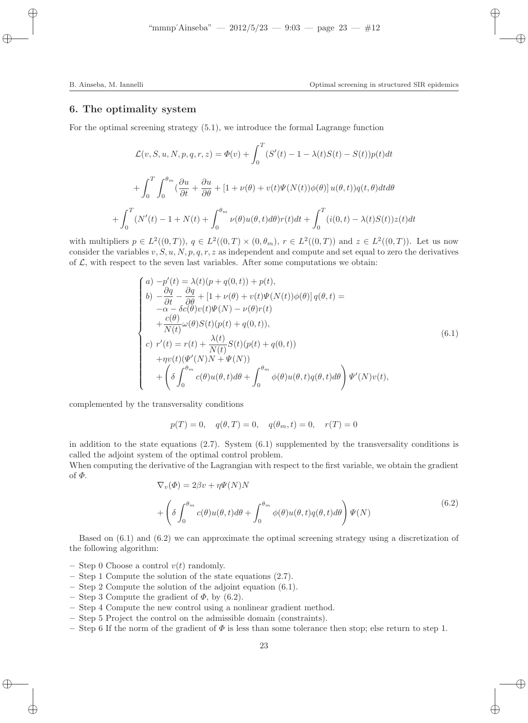# 6. The optimality system

For the optimal screening strategy (5.1), we introduce the formal Lagrange function

$$
\mathcal{L}(v, S, u, N, p, q, r, z) = \Phi(v) + \int_0^T (S'(t) - 1 - \lambda(t)S(t) - S(t))p(t)dt
$$
  
+ 
$$
\int_0^T \int_0^{\theta_m} (\frac{\partial u}{\partial t} + \frac{\partial u}{\partial \theta} + [1 + \nu(\theta) + v(t)\Psi(N(t))\phi(\theta)]u(\theta, t))q(t, \theta)dtd\theta
$$
  
+ 
$$
\int_0^T (N'(t) - 1 + N(t) + \int_0^{\theta_m} \nu(\theta)u(\theta, t)d\theta)r(t)dt + \int_0^T (i(0, t) - \lambda(t)S(t))z(t)dt
$$

with multipliers  $p \in L^2((0,T))$ ,  $q \in L^2((0,T) \times (0,\theta_m)$ ,  $r \in L^2((0,T))$  and  $z \in L^2((0,T))$ . Let us now consider the variables  $v, S, u, N, p, q, r, z$  as independent and compute and set equal to zero the derivatives of  $\mathcal{L}$ , with respect to the seven last variables. After some computations we obtain:

$$
\begin{cases}\na) -p'(t) = \lambda(t)(p+q(0,t)) + p(t), \\
b) - \frac{\partial q}{\partial t} - \frac{\partial q}{\partial \theta} + [1 + \nu(\theta) + v(t)\Psi(N(t))\phi(\theta)] q(\theta, t) = \\
-\alpha - \delta c(\theta)v(t)\Psi(N) - \nu(\theta)r(t) \\
+ \frac{c(\theta)}{N(t)}\omega(\theta)S(t)(p(t) + q(0, t)), \\
c) r'(t) = r(t) + \frac{\lambda(t)}{N(t)}S(t)(p(t) + q(0, t)) \\
+ \eta v(t)(\Psi'(N)N + \Psi(N)) \\
+ \left(\delta \int_0^{\theta_m} c(\theta)u(\theta, t)d\theta + \int_0^{\theta_m} \phi(\theta)u(\theta, t)q(\theta, t)d\theta\right) \Psi'(N)v(t),\n\end{cases} (6.1)
$$

complemented by the transversality conditions

$$
p(T) = 0
$$
,  $q(\theta, T) = 0$ ,  $q(\theta_m, t) = 0$ ,  $r(T) = 0$ 

in addition to the state equations  $(2.7)$ . System  $(6.1)$  supplemented by the transversality conditions is called the adjoint system of the optimal control problem.

When computing the derivative of the Lagrangian with respect to the first variable, we obtain the gradient of  $\Phi$ .

$$
\nabla_v(\Phi) = 2\beta v + \eta \Psi(N)N
$$
  
+  $\left(\delta \int_0^{\theta_m} c(\theta)u(\theta, t) d\theta + \int_0^{\theta_m} \phi(\theta)u(\theta, t)q(\theta, t)d\theta\right) \Psi(N)$  (6.2)

Based on (6.1) and (6.2) we can approximate the optimal screening strategy using a discretization of the following algorithm:

- Step 0 Choose a control  $v(t)$  randomly.
- Step 1 Compute the solution of the state equations (2.7).
- Step 2 Compute the solution of the adjoint equation (6.1).
- Step 3 Compute the gradient of  $\Phi$ , by (6.2).
- Step 4 Compute the new control using a nonlinear gradient method.
- Step 5 Project the control on the admissible domain (constraints).
- Step 6 If the norm of the gradient of  $\Phi$  is less than some tolerance then stop; else return to step 1.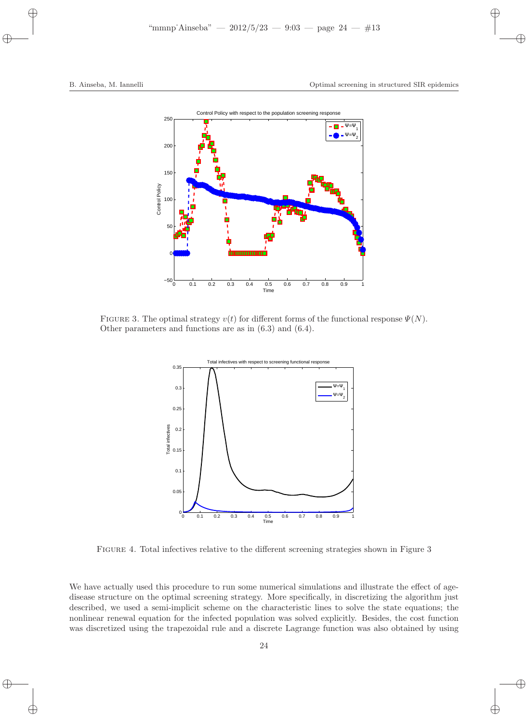

Control Policy with respect to the population screening response

FIGURE 3. The optimal strategy  $v(t)$  for different forms of the functional response  $\Psi(N)$ . Other parameters and functions are as in (6.3) and (6.4).



Figure 4. Total infectives relative to the different screening strategies shown in Figure 3

We have actually used this procedure to run some numerical simulations and illustrate the effect of agedisease structure on the optimal screening strategy. More specifically, in discretizing the algorithm just described, we used a semi-implicit scheme on the characteristic lines to solve the state equations; the nonlinear renewal equation for the infected population was solved explicitly. Besides, the cost function was discretized using the trapezoidal rule and a discrete Lagrange function was also obtained by using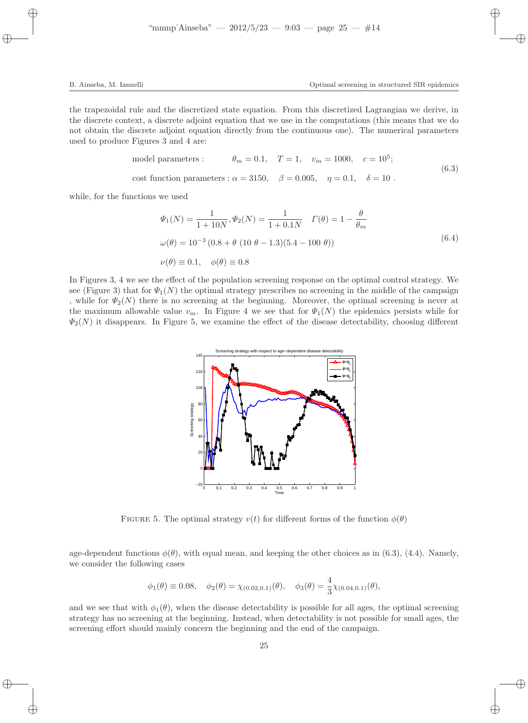the trapezoidal rule and the discretized state equation. From this discretized Lagrangian we derive, in the discrete context, a discrete adjoint equation that we use in the computations (this means that we do not obtain the discrete adjoint equation directly from the continuous one). The numerical parameters used to produce Figures 3 and 4 are:

model parameters : 
$$
\theta_m = 0.1
$$
,  $T = 1$ ,  $v_m = 1000$ ,  $c = 10^5$ ;  
cost function parameters :  $\alpha = 3150$ ,  $\beta = 0.005$ ,  $\eta = 0.1$ ,  $\delta = 10$ . (6.3)

while, for the functions we used

$$
\Psi_1(N) = \frac{1}{1+10N}, \Psi_2(N) = \frac{1}{1+0.1N} \quad \Gamma(\theta) = 1 - \frac{\theta}{\theta_m}
$$
  
\n
$$
\omega(\theta) = 10^{-3} (0.8 + \theta (10 \theta - 1.3)(5.4 - 100 \theta))
$$
  
\n
$$
\nu(\theta) \equiv 0.1, \quad \phi(\theta) \equiv 0.8
$$
\n(6.4)

In Figures 3, 4 we see the effect of the population screening response on the optimal control strategy. We see (Figure 3) that for  $\Psi_1(N)$  the optimal strategy prescribes no screening in the middle of the campaign , while for  $\Psi_2(N)$  there is no screening at the beginning. Moreover, the optimal screening is never at the maximum allowable value  $v_m$ . In Figure 4 we see that for  $\Psi_1(N)$  the epidemics persists while for  $\Psi_2(N)$  it disappears. In Figure 5, we examine the effect of the disease detectability, choosing different



FIGURE 5. The optimal strategy  $v(t)$  for different forms of the function  $\phi(\theta)$ 

age-dependent functions  $\phi(\theta)$ , with equal mean, and keeping the other choices as in (6.3), (4.4). Namely, we consider the following cases

$$
\phi_1(\theta) \equiv 0.08
$$
,  $\phi_2(\theta) = \chi_{(0.02, 0.1)}(\theta)$ ,  $\phi_3(\theta) = \frac{4}{3} \chi_{(0.04, 0.1)}(\theta)$ ,

and we see that with  $\phi_1(\theta)$ , when the disease detectability is possible for all ages, the optimal screening strategy has no screening at the beginning. Instead, when detectability is not possible for small ages, the screening effort should mainly concern the beginning and the end of the campaign.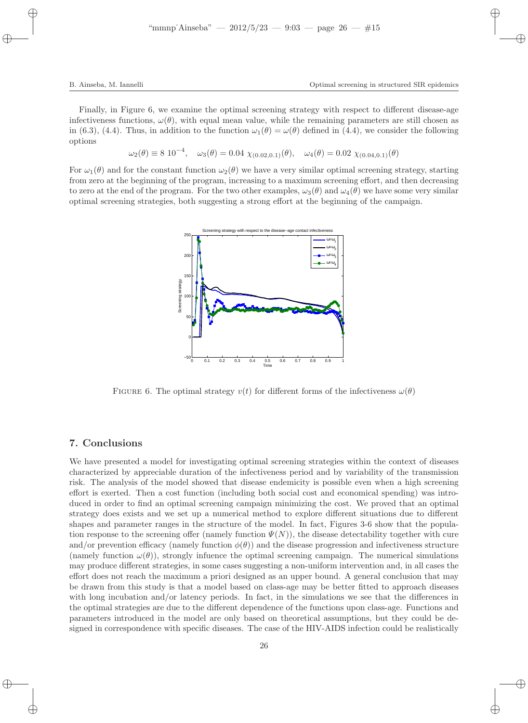Finally, in Figure 6, we examine the optimal screening strategy with respect to different disease-age infectiveness functions,  $\omega(\theta)$ , with equal mean value, while the remaining parameters are still chosen as in (6.3), (4.4). Thus, in addition to the function  $\omega_1(\theta) = \omega(\theta)$  defined in (4.4), we consider the following options

$$
\omega_2(\theta) \equiv 8 \ 10^{-4}, \quad \omega_3(\theta) = 0.04 \ \chi_{(0.02, 0.1)}(\theta), \quad \omega_4(\theta) = 0.02 \ \chi_{(0.04, 0.1)}(\theta)
$$

For  $\omega_1(\theta)$  and for the constant function  $\omega_2(\theta)$  we have a very similar optimal screening strategy, starting from zero at the beginning of the program, increasing to a maximum screening effort, and then decreasing to zero at the end of the program. For the two other examples,  $\omega_3(\theta)$  and  $\omega_4(\theta)$  we have some very similar optimal screening strategies, both suggesting a strong effort at the beginning of the campaign.



FIGURE 6. The optimal strategy  $v(t)$  for different forms of the infectiveness  $\omega(\theta)$ 

# 7. Conclusions

We have presented a model for investigating optimal screening strategies within the context of diseases characterized by appreciable duration of the infectiveness period and by variability of the transmission risk. The analysis of the model showed that disease endemicity is possible even when a high screening effort is exerted. Then a cost function (including both social cost and economical spending) was introduced in order to find an optimal screening campaign minimizing the cost. We proved that an optimal strategy does exists and we set up a numerical method to explore different situations due to different shapes and parameter ranges in the structure of the model. In fact, Figures 3-6 show that the population response to the screening offer (namely function  $\Psi(N)$ ), the disease detectability together with cure and/or prevention efficacy (namely function  $\phi(\theta)$ ) and the disease progression and infectiveness structure (namely function  $\omega(\theta)$ ), strongly infuence the optimal screening campaign. The numerical simulations may produce different strategies, in some cases suggesting a non-uniform intervention and, in all cases the effort does not reach the maximum a priori designed as an upper bound. A general conclusion that may be drawn from this study is that a model based on class-age may be better fitted to approach diseases with long incubation and/or latency periods. In fact, in the simulations we see that the differences in the optimal strategies are due to the different dependence of the functions upon class-age. Functions and parameters introduced in the model are only based on theoretical assumptions, but they could be designed in correspondence with specific diseases. The case of the HIV-AIDS infection could be realistically